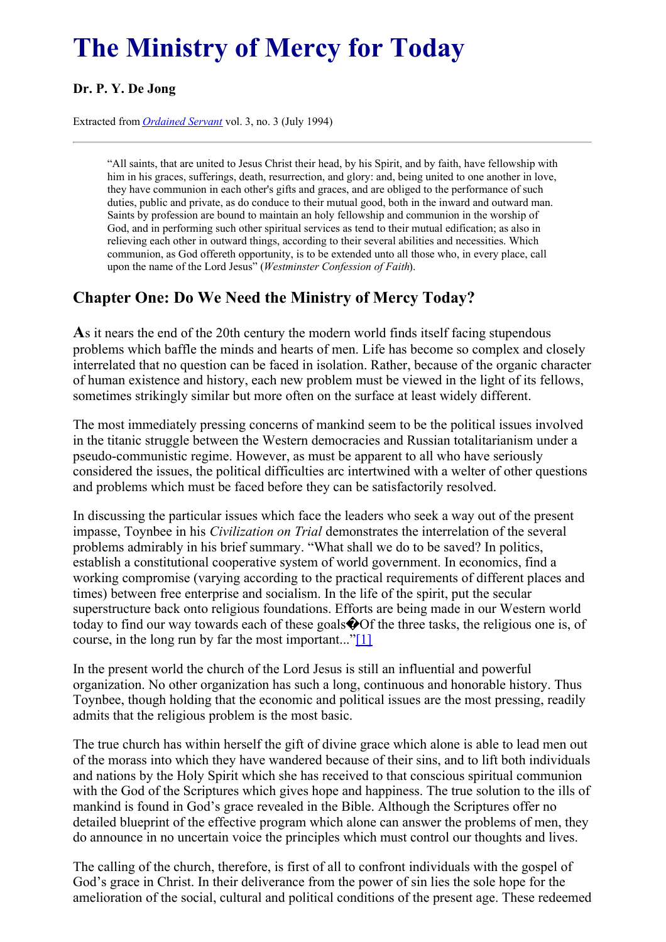# <span id="page-0-0"></span>**The Ministry of Mercy for Today**

### **Dr. P. Y. De Jong**

Extracted from *[Ordained](../../Ordained_servant.html) Servant* vol. 3, no. 3 (July 1994)

"All saints, that are united to Jesus Christ their head, by his Spirit, and by faith, have fellowship with him in his graces, sufferings, death, resurrection, and glory: and, being united to one another in love, they have communion in each other's gifts and graces, and are obliged to the performance of such duties, public and private, as do conduce to their mutual good, both in the inward and outward man. Saints by profession are bound to maintain an holy fellowship and communion in the worship of God, and in performing such other spiritual services as tend to their mutual edification; as also in relieving each other in outward things, according to their several abilities and necessities. Which communion, as God offereth opportunity, is to be extended unto all those who, in every place, call upon the name of the Lord Jesus" (*Westminster Confession of Faith*).

## **Chapter One: Do We Need the Ministry of Mercy Today?**

**A**s it nears the end of the 20th century the modern world finds itself facing stupendous problems which baffle the minds and hearts of men. Life has become so complex and closely interrelated that no question can be faced in isolation. Rather, because of the organic character of human existence and history, each new problem must be viewed in the light of its fellows, sometimes strikingly similar but more often on the surface at least widely different.

The most immediately pressing concerns of mankind seem to be the political issues involved in the titanic struggle between the Western democracies and Russian totalitarianism under a pseudo-communistic regime. However, as must be apparent to all who have seriously considered the issues, the political difficulties arc intertwined with a welter of other questions and problems which must be faced before they can be satisfactorily resolved.

In discussing the particular issues which face the leaders who seek a way out of the present impasse, Toynbee in his *Civilization on Trial* demonstrates the interrelation of the several problems admirably in his brief summary. "What shall we do to be saved? In politics, establish a constitutional cooperative system of world government. In economics, find a working compromise (varying according to the practical requirements of different places and times) between free enterprise and socialism. In the life of the spirit, put the secular superstructure back onto religious foundations. Efforts are being made in our Western world today to find our way towards each of these goals  $\bigcirc$  Of the three tasks, the religious one is, of course, in the long run by far the most important..." $[1]$ 

<span id="page-0-1"></span>In the present world the church of the Lord Jesus is still an influential and powerful organization. No other organization has such a long, continuous and honorable history. Thus Toynbee, though holding that the economic and political issues are the most pressing, readily admits that the religious problem is the most basic.

The true church has within herself the gift of divine grace which alone is able to lead men out of the morass into which they have wandered because of their sins, and to lift both individuals and nations by the Holy Spirit which she has received to that conscious spiritual communion with the God of the Scriptures which gives hope and happiness. The true solution to the ills of mankind is found in God's grace revealed in the Bible. Although the Scriptures offer no detailed blueprint of the effective program which alone can answer the problems of men, they do announce in no uncertain voice the principles which must control our thoughts and lives.

The calling of the church, therefore, is first of all to confront individuals with the gospel of God's grace in Christ. In their deliverance from the power of sin lies the sole hope for the amelioration of the social, cultural and political conditions of the present age. These redeemed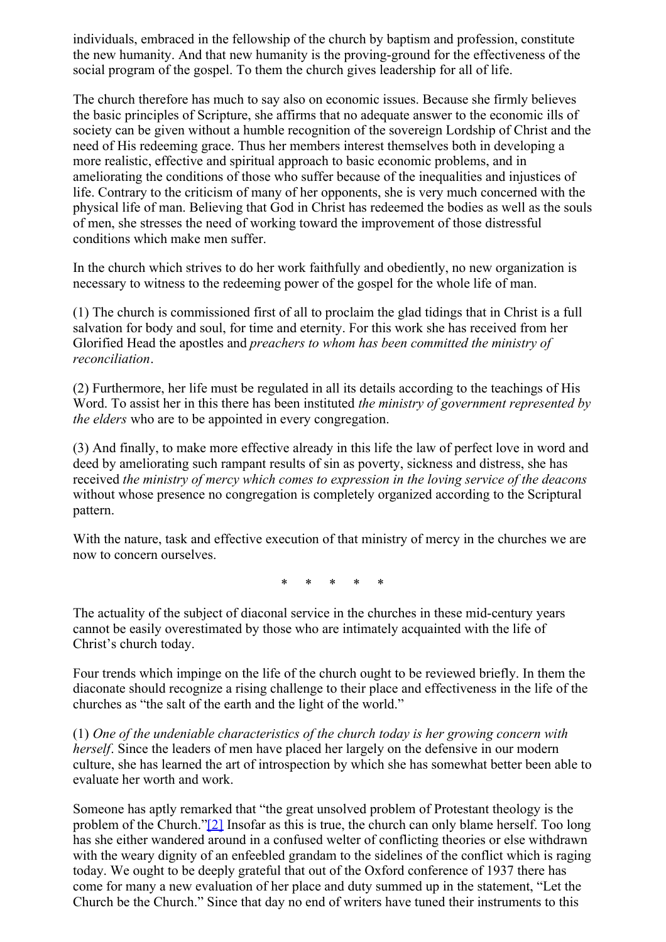individuals, embraced in the fellowship of the church by baptism and profession, constitute the new humanity. And that new humanity is the proving-ground for the effectiveness of the social program of the gospel. To them the church gives leadership for all of life.

The church therefore has much to say also on economic issues. Because she firmly believes the basic principles of Scripture, she affirms that no adequate answer to the economic ills of society can be given without a humble recognition of the sovereign Lordship of Christ and the need of His redeeming grace. Thus her members interest themselves both in developing a more realistic, effective and spiritual approach to basic economic problems, and in ameliorating the conditions of those who suffer because of the inequalities and injustices of life. Contrary to the criticism of many of her opponents, she is very much concerned with the physical life of man. Believing that God in Christ has redeemed the bodies as well as the souls of men, she stresses the need of working toward the improvement of those distressful conditions which make men suffer.

In the church which strives to do her work faithfully and obediently, no new organization is necessary to witness to the redeeming power of the gospel for the whole life of man.

(1) The church is commissioned first of all to proclaim the glad tidings that in Christ is a full salvation for body and soul, for time and eternity. For this work she has received from her Glorified Head the apostles and *preachers to whom has been committed the ministry of reconciliation*.

(2) Furthermore, her life must be regulated in all its details according to the teachings of His Word. To assist her in this there has been instituted *the ministry of government represented by the elders* who are to be appointed in every congregation.

(3) And finally, to make more effective already in this life the law of perfect love in word and deed by ameliorating such rampant results of sin as poverty, sickness and distress, she has received *the ministry of mercy which comes to expression in the loving service of the deacons* without whose presence no congregation is completely organized according to the Scriptural pattern.

With the nature, task and effective execution of that ministry of mercy in the churches we are now to concern ourselves.

\* \* \* \* \*

The actuality of the subject of diaconal service in the churches in these mid-century years cannot be easily overestimated by those who are intimately acquainted with the life of Christ's church today.

Four trends which impinge on the life of the church ought to be reviewed briefly. In them the diaconate should recognize a rising challenge to their place and effectiveness in the life of the churches as "the salt of the earth and the light of the world."

(1) *One of the undeniable characteristics of the church today is her growing concern with herself*. Since the leaders of men have placed her largely on the defensive in our modern culture, she has learned the art of introspection by which she has somewhat better been able to evaluate her worth and work.

<span id="page-1-0"></span>Someone has aptly remarked that "the great unsolved problem of Protestant theology is the problem of the Church.["\[2\]](#page-0-0) Insofar as this is true, the church can only blame herself. Too long has she either wandered around in a confused welter of conflicting theories or else withdrawn with the weary dignity of an enfeebled grandam to the sidelines of the conflict which is raging today. We ought to be deeply grateful that out of the Oxford conference of 1937 there has come for many a new evaluation of her place and duty summed up in the statement, "Let the Church be the Church." Since that day no end of writers have tuned their instruments to this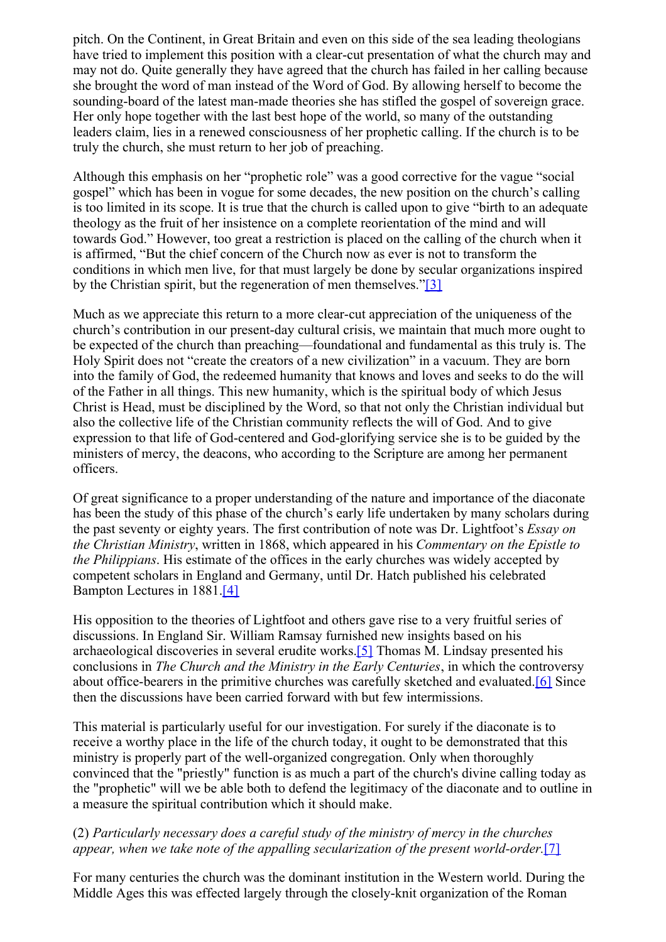pitch. On the Continent, in Great Britain and even on this side of the sea leading theologians have tried to implement this position with a clear-cut presentation of what the church may and may not do. Quite generally they have agreed that the church has failed in her calling because she brought the word of man instead of the Word of God. By allowing herself to become the sounding-board of the latest man-made theories she has stifled the gospel of sovereign grace. Her only hope together with the last best hope of the world, so many of the outstanding leaders claim, lies in a renewed consciousness of her prophetic calling. If the church is to be truly the church, she must return to her job of preaching.

Although this emphasis on her "prophetic role" was a good corrective for the vague "social gospel" which has been in vogue for some decades, the new position on the church's calling is too limited in its scope. It is true that the church is called upon to give "birth to an adequate theology as the fruit of her insistence on a complete reorientation of the mind and will towards God." However, too great a restriction is placed on the calling of the church when it is affirmed, "But the chief concern of the Church now as ever is not to transform the conditions in which men live, for that must largely be done by secular organizations inspired by the Christian spirit, but the regeneration of men themselves."[\[3\]](#page-0-0)

<span id="page-2-0"></span>Much as we appreciate this return to a more clear-cut appreciation of the uniqueness of the church's contribution in our present-day cultural crisis, we maintain that much more ought to be expected of the church than preaching—foundational and fundamental as this truly is. The Holy Spirit does not "create the creators of a new civilization" in a vacuum. They are born into the family of God, the redeemed humanity that knows and loves and seeks to do the will of the Father in all things. This new humanity, which is the spiritual body of which Jesus Christ is Head, must be disciplined by the Word, so that not only the Christian individual but also the collective life of the Christian community reflects the will of God. And to give expression to that life of God-centered and God-glorifying service she is to be guided by the ministers of mercy, the deacons, who according to the Scripture are among her permanent officers.

Of great significance to a proper understanding of the nature and importance of the diaconate has been the study of this phase of the church's early life undertaken by many scholars during the past seventy or eighty years. The first contribution of note was Dr. Lightfoot's *Essay on the Christian Ministry*, written in 1868, which appeared in his *Commentary on the Epistle to the Philippians*. His estimate of the offices in the early churches was widely accepted by competent scholars in England and Germany, until Dr. Hatch published his celebrated Bampton Lectures in 1881[.\[4\]](#page-0-0)

<span id="page-2-2"></span><span id="page-2-1"></span>His opposition to the theories of Lightfoot and others gave rise to a very fruitful series of discussions. In England Sir. William Ramsay furnished new insights based on his archaeological discoveries in several erudite works[.\[5\]](#page-0-0) Thomas M. Lindsay presented his conclusions in *The Church and the Ministry in the Early Centuries*, in which the controversy about office-bearers in the primitive churches was carefully sketched and evaluated[.\[6\]](#page-0-0) Since then the discussions have been carried forward with but few intermissions.

<span id="page-2-3"></span>This material is particularly useful for our investigation. For surely if the diaconate is to receive a worthy place in the life of the church today, it ought to be demonstrated that this ministry is properly part of the well-organized congregation. Only when thoroughly convinced that the "priestly" function is as much a part of the church's divine calling today as the "prophetic" will we be able both to defend the legitimacy of the diaconate and to outline in a measure the spiritual contribution which it should make.

#### <span id="page-2-4"></span>(2) *Particularly necessary does a careful study of the ministry of mercy in the churches appear, when we take note of the appalling secularization of the present world-order.*[\[7\]](#page-0-0)

For many centuries the church was the dominant institution in the Western world. During the Middle Ages this was effected largely through the closely-knit organization of the Roman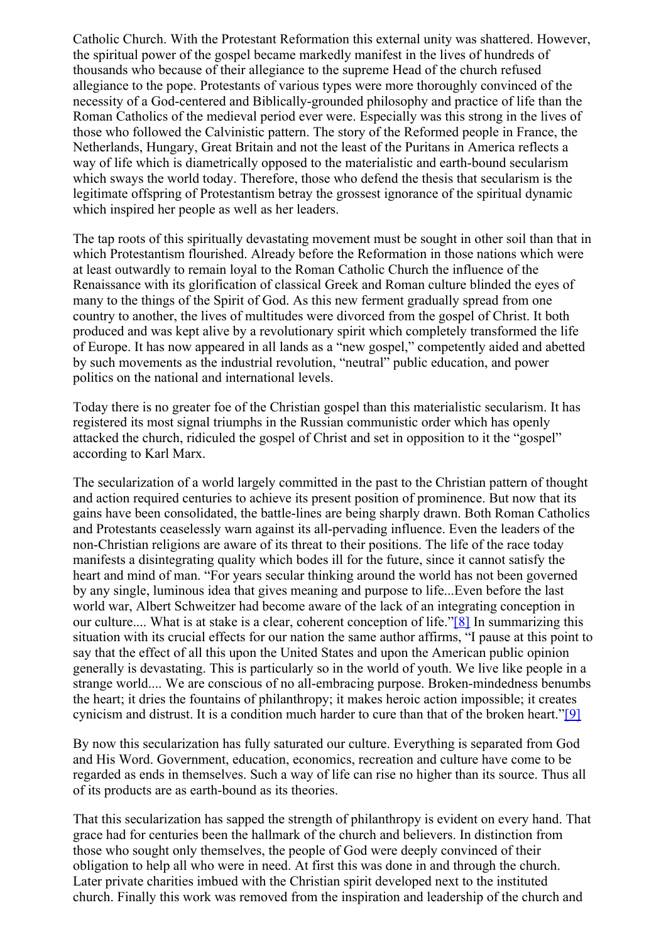Catholic Church. With the Protestant Reformation this external unity was shattered. However, the spiritual power of the gospel became markedly manifest in the lives of hundreds of thousands who because of their allegiance to the supreme Head of the church refused allegiance to the pope. Protestants of various types were more thoroughly convinced of the necessity of a God-centered and Biblically-grounded philosophy and practice of life than the Roman Catholics of the medieval period ever were. Especially was this strong in the lives of those who followed the Calvinistic pattern. The story of the Reformed people in France, the Netherlands, Hungary, Great Britain and not the least of the Puritans in America reflects a way of life which is diametrically opposed to the materialistic and earth-bound secularism which sways the world today. Therefore, those who defend the thesis that secularism is the legitimate offspring of Protestantism betray the grossest ignorance of the spiritual dynamic which inspired her people as well as her leaders.

The tap roots of this spiritually devastating movement must be sought in other soil than that in which Protestantism flourished. Already before the Reformation in those nations which were at least outwardly to remain loyal to the Roman Catholic Church the influence of the Renaissance with its glorification of classical Greek and Roman culture blinded the eyes of many to the things of the Spirit of God. As this new ferment gradually spread from one country to another, the lives of multitudes were divorced from the gospel of Christ. It both produced and was kept alive by a revolutionary spirit which completely transformed the life of Europe. It has now appeared in all lands as a "new gospel," competently aided and abetted by such movements as the industrial revolution, "neutral" public education, and power politics on the national and international levels.

Today there is no greater foe of the Christian gospel than this materialistic secularism. It has registered its most signal triumphs in the Russian communistic order which has openly attacked the church, ridiculed the gospel of Christ and set in opposition to it the "gospel" according to Karl Marx.

The secularization of a world largely committed in the past to the Christian pattern of thought and action required centuries to achieve its present position of prominence. But now that its gains have been consolidated, the battle-lines are being sharply drawn. Both Roman Catholics and Protestants ceaselessly warn against its all-pervading influence. Even the leaders of the non-Christian religions are aware of its threat to their positions. The life of the race today manifests a disintegrating quality which bodes ill for the future, since it cannot satisfy the heart and mind of man. "For years secular thinking around the world has not been governed by any single, luminous idea that gives meaning and purpose to life...Even before the last world war, Albert Schweitzer had become aware of the lack of an integrating conception in our culture.... What is at stake is a clear, coherent conception of life."<sup>[8]</sup> In summarizing this situation with its crucial effects for our nation the same author affirms, "I pause at this point to say that the effect of all this upon the United States and upon the American public opinion generally is devastating. This is particularly so in the world of youth. We live like people in a strange world.... We are conscious of no all-embracing purpose. Broken-mindedness benumbs the heart; it dries the fountains of philanthropy; it makes heroic action impossible; it creates cynicism and distrust. It is a condition much harder to cure than that of the broken heart.["\[9\]](#page-0-0)

<span id="page-3-1"></span><span id="page-3-0"></span>By now this secularization has fully saturated our culture. Everything is separated from God and His Word. Government, education, economics, recreation and culture have come to be regarded as ends in themselves. Such a way of life can rise no higher than its source. Thus all of its products are as earth-bound as its theories.

That this secularization has sapped the strength of philanthropy is evident on every hand. That grace had for centuries been the hallmark of the church and believers. In distinction from those who sought only themselves, the people of God were deeply convinced of their obligation to help all who were in need. At first this was done in and through the church. Later private charities imbued with the Christian spirit developed next to the instituted church. Finally this work was removed from the inspiration and leadership of the church and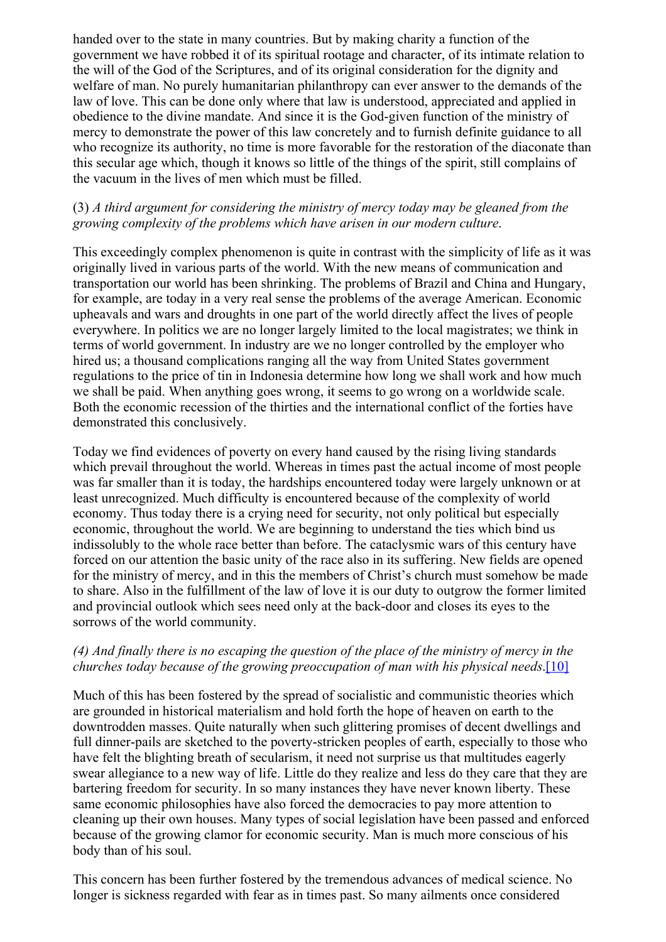handed over to the state in many countries. But by making charity a function of the government we have robbed it of its spiritual rootage and character, of its intimate relation to the will of the God of the Scriptures, and of its original consideration for the dignity and welfare of man. No purely humanitarian philanthropy can ever answer to the demands of the law of love. This can be done only where that law is understood, appreciated and applied in obedience to the divine mandate. And since it is the God-given function of the ministry of mercy to demonstrate the power of this law concretely and to furnish definite guidance to all who recognize its authority, no time is more favorable for the restoration of the diaconate than this secular age which, though it knows so little of the things of the spirit, still complains of the vacuum in the lives of men which must be filled.

#### (3) *A third argument for considering the ministry of mercy today may be gleaned from the growing complexity of the problems which have arisen in our modern culture*.

This exceedingly complex phenomenon is quite in contrast with the simplicity of life as it was originally lived in various parts of the world. With the new means of communication and transportation our world has been shrinking. The problems of Brazil and China and Hungary, for example, are today in a very real sense the problems of the average American. Economic upheavals and wars and droughts in one part of the world directly affect the lives of people everywhere. In politics we are no longer largely limited to the local magistrates; we think in terms of world government. In industry are we no longer controlled by the employer who hired us; a thousand complications ranging all the way from United States government regulations to the price of tin in Indonesia determine how long we shall work and how much we shall be paid. When anything goes wrong, it seems to go wrong on a worldwide scale. Both the economic recession of the thirties and the international conflict of the forties have demonstrated this conclusively.

Today we find evidences of poverty on every hand caused by the rising living standards which prevail throughout the world. Whereas in times past the actual income of most people was far smaller than it is today, the hardships encountered today were largely unknown or at least unrecognized. Much difficulty is encountered because of the complexity of world economy. Thus today there is a crying need for security, not only political but especially economic, throughout the world. We are beginning to understand the ties which bind us indissolubly to the whole race better than before. The cataclysmic wars of this century have forced on our attention the basic unity of the race also in its suffering. New fields are opened for the ministry of mercy, and in this the members of Christ's church must somehow be made to share. Also in the fulfillment of the law of love it is our duty to outgrow the former limited and provincial outlook which sees need only at the back-door and closes its eyes to the sorrows of the world community.

#### <span id="page-4-0"></span>(4) And finally there is no escaping the question of the place of the ministry of mercy in the *churches today because of the growing preoccupation of man with his physical needs*[.\[10\]](#page-0-0)

Much of this has been fostered by the spread of socialistic and communistic theories which are grounded in historical materialism and hold forth the hope of heaven on earth to the downtrodden masses. Quite naturally when such glittering promises of decent dwellings and full dinner-pails are sketched to the poverty-stricken peoples of earth, especially to those who have felt the blighting breath of secularism, it need not surprise us that multitudes eagerly swear allegiance to a new way of life. Little do they realize and less do they care that they are bartering freedom for security. In so many instances they have never known liberty. These same economic philosophies have also forced the democracies to pay more attention to cleaning up their own houses. Many types of social legislation have been passed and enforced because of the growing clamor for economic security. Man is much more conscious of his body than of his soul.

This concern has been further fostered by the tremendous advances of medical science. No longer is sickness regarded with fear as in times past. So many ailments once considered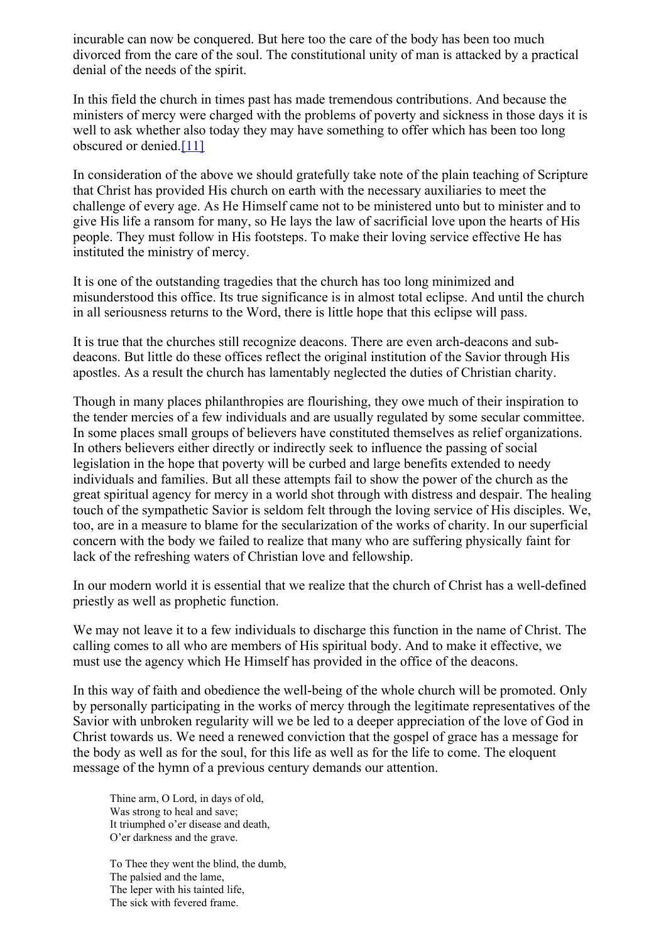incurable can now be conquered. But here too the care of the body has been too much divorced from the care of the soul. The constitutional unity of man is attacked by a practical denial of the needs of the spirit.

In this field the church in times past has made tremendous contributions. And because the ministers of mercy were charged with the problems of poverty and sickness in those days it is well to ask whether also today they may have something to offer which has been too long obscured or denied.<sup>[\[11\]](#page-0-0)</sup>

<span id="page-5-0"></span>In consideration of the above we should gratefully take note of the plain teaching of Scripture that Christ has provided His church on earth with the necessary auxiliaries to meet the challenge of every age. As He Himself came not to be ministered unto but to minister and to give His life a ransom for many, so He lays the law of sacrificial love upon the hearts of His people. They must follow in His footsteps. To make their loving service effective He has instituted the ministry of mercy.

It is one of the outstanding tragedies that the church has too long minimized and misunderstood this office. Its true significance is in almost total eclipse. And until the church in all seriousness returns to the Word, there is little hope that this eclipse will pass.

It is true that the churches still recognize deacons. There are even arch-deacons and subdeacons. But little do these offices reflect the original institution of the Savior through His apostles. As a result the church has lamentably neglected the duties of Christian charity.

Though in many places philanthropies are flourishing, they owe much of their inspiration to the tender mercies of a few individuals and are usually regulated by some secular committee. In some places small groups of believers have constituted themselves as relief organizations. In others believers either directly or indirectly seek to influence the passing of social legislation in the hope that poverty will be curbed and large benefits extended to needy individuals and families. But all these attempts fail to show the power of the church as the great spiritual agency for mercy in a world shot through with distress and despair. The healing touch of the sympathetic Savior is seldom felt through the loving service of His disciples. We, too, are in a measure to blame for the secularization of the works of charity. In our superficial concern with the body we failed to realize that many who are suffering physically faint for lack of the refreshing waters of Christian love and fellowship.

In our modern world it is essential that we realize that the church of Christ has a well-defined priestly as well as prophetic function.

We may not leave it to a few individuals to discharge this function in the name of Christ. The calling comes to all who are members of His spiritual body. And to make it effective, we must use the agency which He Himself has provided in the office of the deacons.

In this way of faith and obedience the well-being of the whole church will be promoted. Only by personally participating in the works of mercy through the legitimate representatives of the Savior with unbroken regularity will we be led to a deeper appreciation of the love of God in Christ towards us. We need a renewed conviction that the gospel of grace has a message for the body as well as for the soul, for this life as well as for the life to come. The eloquent message of the hymn of a previous century demands our attention.

Thine arm, O Lord, in days of old, Was strong to heal and save; It triumphed o'er disease and death, O'er darkness and the grave.

To Thee they went the blind, the dumb, The palsied and the lame, The leper with his tainted life, The sick with fevered frame.